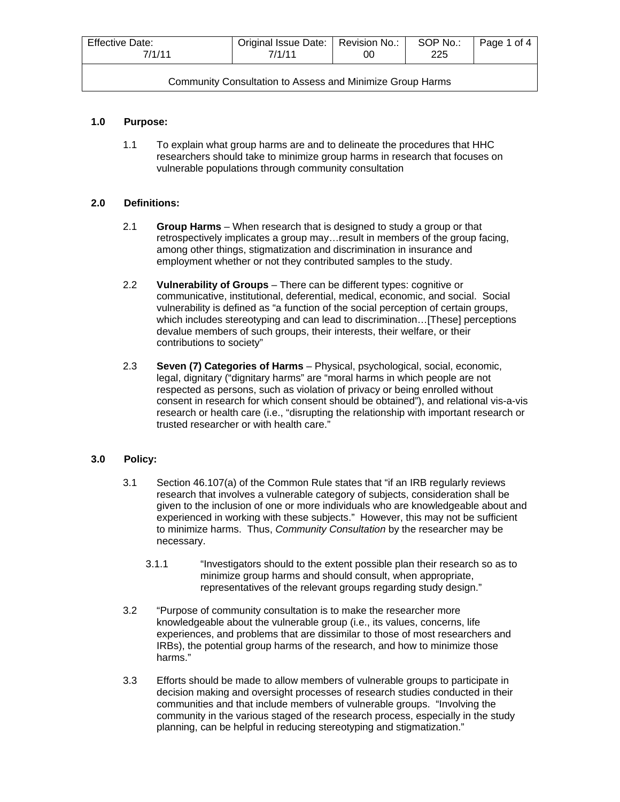| <b>Effective Date:</b><br>7/1/11                          | Original Issue Date:   Revision No.:<br>7/1/11 | OO | SOP No.:<br>225 | Page 1 of 4 |
|-----------------------------------------------------------|------------------------------------------------|----|-----------------|-------------|
| Community Consultation to Assess and Minimize Group Harms |                                                |    |                 |             |

# **1.0 Purpose:**

1.1 To explain what group harms are and to delineate the procedures that HHC researchers should take to minimize group harms in research that focuses on vulnerable populations through community consultation

## **2.0 Definitions:**

- 2.1 **Group Harms**  When research that is designed to study a group or that retrospectively implicates a group may…result in members of the group facing, among other things, stigmatization and discrimination in insurance and employment whether or not they contributed samples to the study.
- 2.2 **Vulnerability of Groups**  There can be different types: cognitive or communicative, institutional, deferential, medical, economic, and social. Social vulnerability is defined as "a function of the social perception of certain groups, which includes stereotyping and can lead to discrimination…[These] perceptions devalue members of such groups, their interests, their welfare, or their contributions to society"
- 2.3 **Seven (7) Categories of Harms** Physical, psychological, social, economic, legal, dignitary ("dignitary harms" are "moral harms in which people are not respected as persons, such as violation of privacy or being enrolled without consent in research for which consent should be obtained"), and relational vis-a-vis research or health care (i.e., "disrupting the relationship with important research or trusted researcher or with health care."

# **3.0 Policy:**

- 3.1 Section 46.107(a) of the Common Rule states that "if an IRB regularly reviews research that involves a vulnerable category of subjects, consideration shall be given to the inclusion of one or more individuals who are knowledgeable about and experienced in working with these subjects." However, this may not be sufficient to minimize harms. Thus, *Community Consultation* by the researcher may be necessary.
	- 3.1.1 "Investigators should to the extent possible plan their research so as to minimize group harms and should consult, when appropriate, representatives of the relevant groups regarding study design."
- 3.2 "Purpose of community consultation is to make the researcher more knowledgeable about the vulnerable group (i.e., its values, concerns, life experiences, and problems that are dissimilar to those of most researchers and IRBs), the potential group harms of the research, and how to minimize those harms."
- 3.3 Efforts should be made to allow members of vulnerable groups to participate in decision making and oversight processes of research studies conducted in their communities and that include members of vulnerable groups. "Involving the community in the various staged of the research process, especially in the study planning, can be helpful in reducing stereotyping and stigmatization."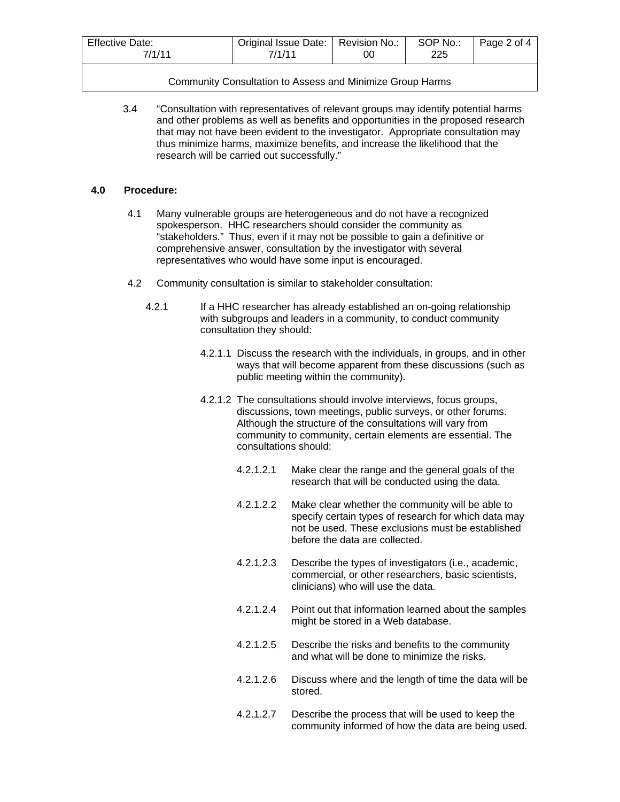| <b>Effective Date:</b> | Original Issue Date:   Revision No.: |    | SOP No.: | Page 2 of 4 |
|------------------------|--------------------------------------|----|----------|-------------|
| 7/1/11                 | 7/1/11                               | 0C | 225      |             |
|                        |                                      |    |          |             |

|  | Community Consultation to Assess and Minimize Group Harms |  |  |  |
|--|-----------------------------------------------------------|--|--|--|
|--|-----------------------------------------------------------|--|--|--|

3.4 "Consultation with representatives of relevant groups may identify potential harms and other problems as well as benefits and opportunities in the proposed research that may not have been evident to the investigator. Appropriate consultation may thus minimize harms, maximize benefits, and increase the likelihood that the research will be carried out successfully."

#### **4.0 Procedure:**

- 4.1 Many vulnerable groups are heterogeneous and do not have a recognized spokesperson. HHC researchers should consider the community as "stakeholders." Thus, even if it may not be possible to gain a definitive or comprehensive answer, consultation by the investigator with several representatives who would have some input is encouraged.
- 4.2 Community consultation is similar to stakeholder consultation:
	- 4.2.1 If a HHC researcher has already established an on-going relationship with subgroups and leaders in a community, to conduct community consultation they should:
		- 4.2.1.1 Discuss the research with the individuals, in groups, and in other ways that will become apparent from these discussions (such as public meeting within the community).
		- 4.2.1.2 The consultations should involve interviews, focus groups, discussions, town meetings, public surveys, or other forums. Although the structure of the consultations will vary from community to community, certain elements are essential. The consultations should:
			- 4.2.1.2.1 Make clear the range and the general goals of the research that will be conducted using the data.
			- 4.2.1.2.2 Make clear whether the community will be able to specify certain types of research for which data may not be used. These exclusions must be established before the data are collected.
			- 4.2.1.2.3 Describe the types of investigators (i.e., academic, commercial, or other researchers, basic scientists, clinicians) who will use the data.
			- 4.2.1.2.4 Point out that information learned about the samples might be stored in a Web database.
			- 4.2.1.2.5 Describe the risks and benefits to the community and what will be done to minimize the risks.
			- 4.2.1.2.6 Discuss where and the length of time the data will be stored.
			- 4.2.1.2.7 Describe the process that will be used to keep the community informed of how the data are being used.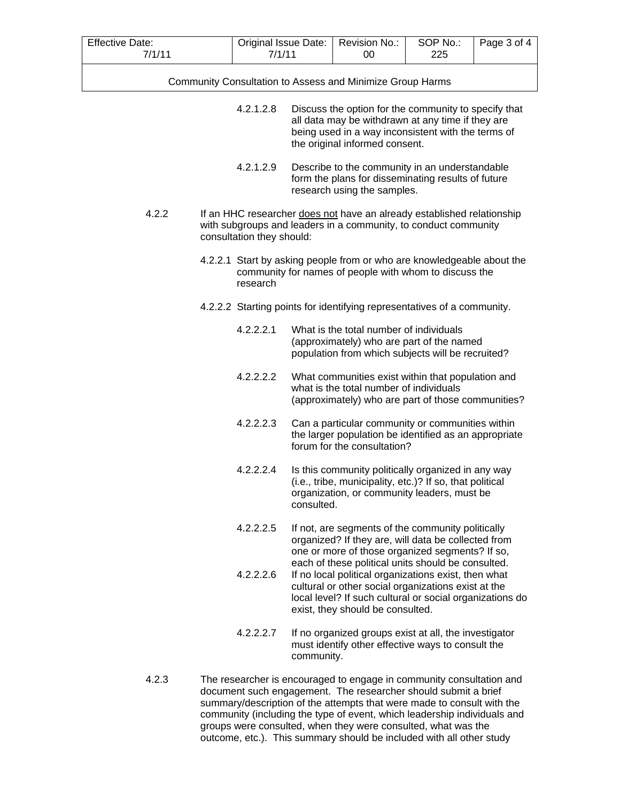| <b>Effective Date:</b><br>7/1/11 | Original Issue Date:<br>7/1/11                                                                                                                                         |           | Revision No.:<br>00 | SOP No.:<br>225                                                                                                                                                                                                   | Page 3 of 4 |  |
|----------------------------------|------------------------------------------------------------------------------------------------------------------------------------------------------------------------|-----------|---------------------|-------------------------------------------------------------------------------------------------------------------------------------------------------------------------------------------------------------------|-------------|--|
|                                  | Community Consultation to Assess and Minimize Group Harms                                                                                                              |           |                     |                                                                                                                                                                                                                   |             |  |
|                                  |                                                                                                                                                                        | 4.2.1.2.8 |                     | Discuss the option for the community to specify that<br>all data may be withdrawn at any time if they are<br>being used in a way inconsistent with the terms of<br>the original informed consent.                 |             |  |
|                                  |                                                                                                                                                                        | 4.2.1.2.9 |                     | Describe to the community in an understandable<br>form the plans for disseminating results of future<br>research using the samples.                                                                               |             |  |
| 4.2.2                            | If an HHC researcher does not have an already established relationship<br>with subgroups and leaders in a community, to conduct community<br>consultation they should: |           |                     |                                                                                                                                                                                                                   |             |  |
|                                  |                                                                                                                                                                        | research  |                     | 4.2.2.1 Start by asking people from or who are knowledgeable about the<br>community for names of people with whom to discuss the                                                                                  |             |  |
|                                  |                                                                                                                                                                        |           |                     | 4.2.2.2 Starting points for identifying representatives of a community.                                                                                                                                           |             |  |
|                                  |                                                                                                                                                                        | 4.2.2.2.1 |                     | What is the total number of individuals<br>(approximately) who are part of the named<br>population from which subjects will be recruited?                                                                         |             |  |
|                                  |                                                                                                                                                                        | 4.2.2.2.2 |                     | What communities exist within that population and<br>what is the total number of individuals<br>(approximately) who are part of those communities?                                                                |             |  |
|                                  |                                                                                                                                                                        | 4.2.2.2.3 |                     | Can a particular community or communities within<br>the larger population be identified as an appropriate<br>forum for the consultation?                                                                          |             |  |
|                                  |                                                                                                                                                                        | 4.2.2.2.4 | consulted.          | Is this community politically organized in any way<br>(i.e., tribe, municipality, etc.)? If so, that political<br>organization, or community leaders, must be                                                     |             |  |
|                                  |                                                                                                                                                                        | 4.2.2.2.5 |                     | If not, are segments of the community politically<br>organized? If they are, will data be collected from<br>one or more of those organized segments? If so,<br>each of these political units should be consulted. |             |  |
|                                  |                                                                                                                                                                        | 4.2.2.2.6 |                     | If no local political organizations exist, then what<br>cultural or other social organizations exist at the<br>local level? If such cultural or social organizations do<br>exist, they should be consulted.       |             |  |
|                                  |                                                                                                                                                                        | 4.2.2.2.7 | community.          | If no organized groups exist at all, the investigator<br>must identify other effective ways to consult the                                                                                                        |             |  |
| 4.2.3                            |                                                                                                                                                                        |           |                     | The researcher is encouraged to engage in community consultation and<br>document such engagement. The researcher should submit a brief                                                                            |             |  |

document such engagement. The researcher should submit a brief summary/description of the attempts that were made to consult with the community (including the type of event, which leadership individuals and groups were consulted, when they were consulted, what was the outcome, etc.). This summary should be included with all other study